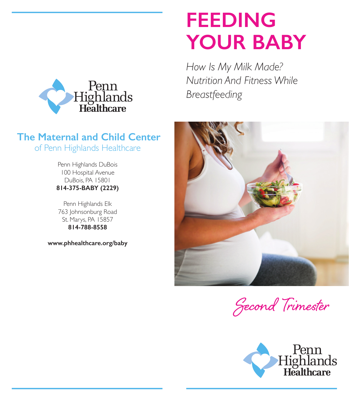

## **The Maternal and Child Center** of Penn Highlands Healthcare

Penn Highlands DuBois 100 Hospital Avenue DuBois, PA 15801 **814-375-BABY (2229)**

Penn Highlands Elk 763 Johnsonburg Road St. Marys, PA 15857 **814-788-8558**

**www.phhealthcare.org/baby**

## **FEEDING YOUR BABY**

*How Is My Milk Made? Nutrition And Fitness While Breastfeeding*



Second Trimester